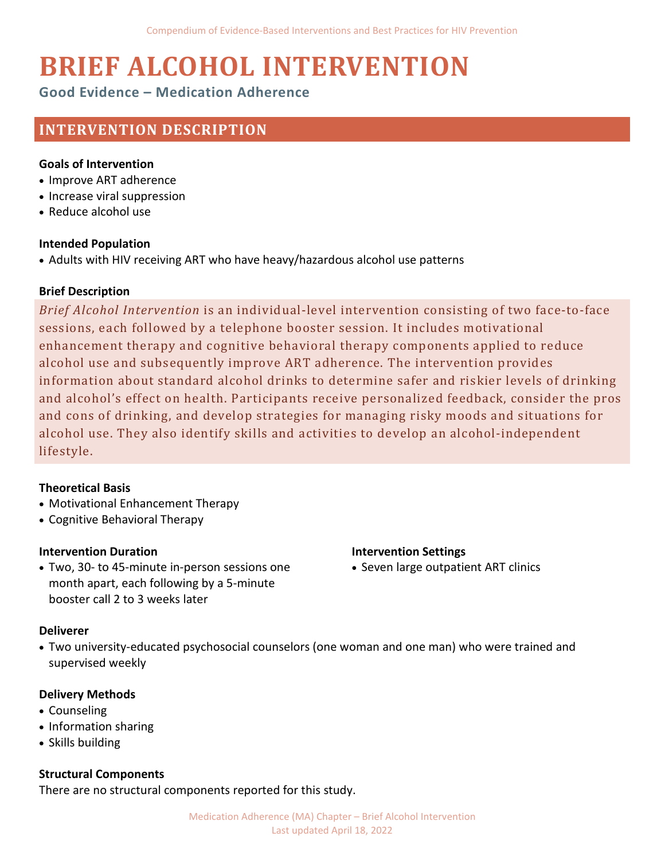# **BRIEF ALCOHOL INTERVENTION**

# **Good Evidence – Medication Adherence**

# **INTERVENTION DESCRIPTION**

## **Goals of Intervention**

- Improve ART adherence
- Increase viral suppression
- Reduce alcohol use

#### **Intended Population**

• Adults with HIV receiving ART who have heavy/hazardous alcohol use patterns

## **Brief Description**

*Brief Alcohol Intervention* is an individual-level intervention consisting of two face-to-face sessions, each followed by a telephone booster session. It includes motivational enhancement therapy and cognitive behavioral therapy components applied to reduce alcohol use and subsequently improve ART adherence. The intervention provides information about standard alcohol drinks to determine safer and riskier levels of drinking and alcohol's effect on health. Participants receive personalized feedback, consider the pros and cons of drinking, and develop strategies for managing risky moods and situations for alcohol use. They also identify skills and activities to develop an alcohol-independent lifestyle.

## **Theoretical Basis**

- Motivational Enhancement Therapy
- Cognitive Behavioral Therapy

## **Intervention Duration**

• Two, 30- to 45-minute in-person sessions one month apart, each following by a 5-minute booster call 2 to 3 weeks later

## **Intervention Settings**

• Seven large outpatient ART clinics

## **Deliverer**

• Two university-educated psychosocial counselors (one woman and one man) who were trained and supervised weekly

## **Delivery Methods**

- Counseling
- Information sharing
- Skills building

## **Structural Components**

There are no structural components reported for this study.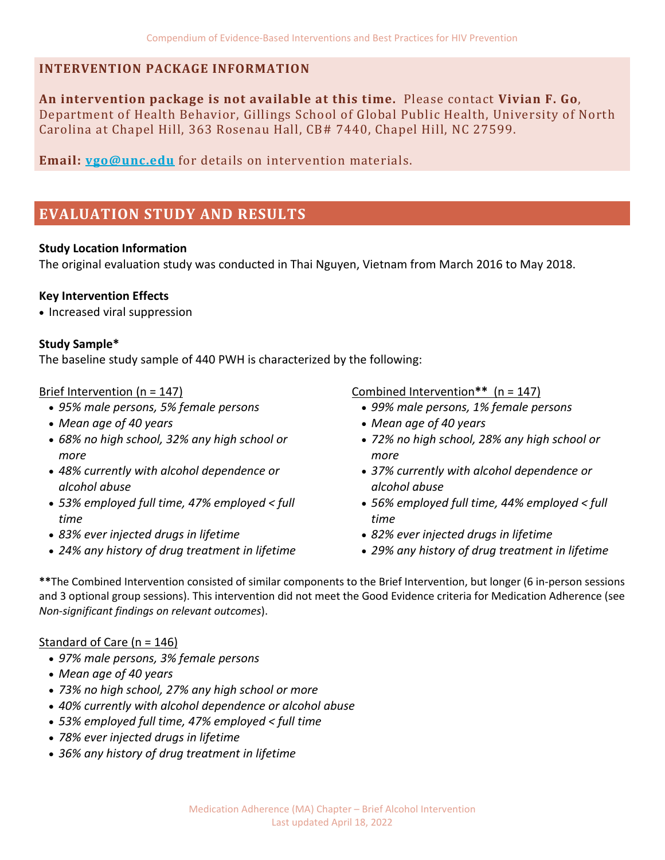# **INTERVENTION PACKAGE INFORMATION**

**An intervention package is not available at this time.** Please contact **Vivian F. Go**, Department of Health Behavior, Gillings School of Global Public Health, University of North Carolina at Chapel Hill, 363 Rosenau Hall, CB# 7440, Chapel Hill, NC 27599.

**Email: [vgo@unc.edu](mailto:vgo@unc.edu)** for details on intervention materials.

# **EVALUATION STUDY AND RESULTS**

## **Study Location Information**

The original evaluation study was conducted in Thai Nguyen, Vietnam from March 2016 to May 2018.

## **Key Intervention Effects**

• Increased viral suppression

## **Study Sample\***

The baseline study sample of 440 PWH is characterized by the following:

## Brief Intervention (n = 147)

- *95% male persons, 5% female persons*
- *Mean age of 40 years*
- *68% no high school, 32% any high school or more*
- *48% currently with alcohol dependence or alcohol abuse*
- *53% employed full time, 47% employed < full time*
- *83% ever injected drugs in lifetime*
- *24% any history of drug treatment in lifetime*

# Combined Intervention**\*\*** (n = 147)

- *99% male persons, 1% female persons*
- *Mean age of 40 years*
- *72% no high school, 28% any high school or more*
- *37% currently with alcohol dependence or alcohol abuse*
- *56% employed full time, 44% employed < full time*
- *82% ever injected drugs in lifetime*
- *29% any history of drug treatment in lifetime*

**\*\***The Combined Intervention consisted of similar components to the Brief Intervention, but longer (6 in-person sessions and 3 optional group sessions). This intervention did not meet the Good Evidence criteria for Medication Adherence (see *Non-significant findings on relevant outcomes*).

## Standard of Care (n = 146)

- *97% male persons, 3% female persons*
- *Mean age of 40 years*
- *73% no high school, 27% any high school or more*
- *40% currently with alcohol dependence or alcohol abuse*
- *53% employed full time, 47% employed < full time*
- *78% ever injected drugs in lifetime*
- *36% any history of drug treatment in lifetime*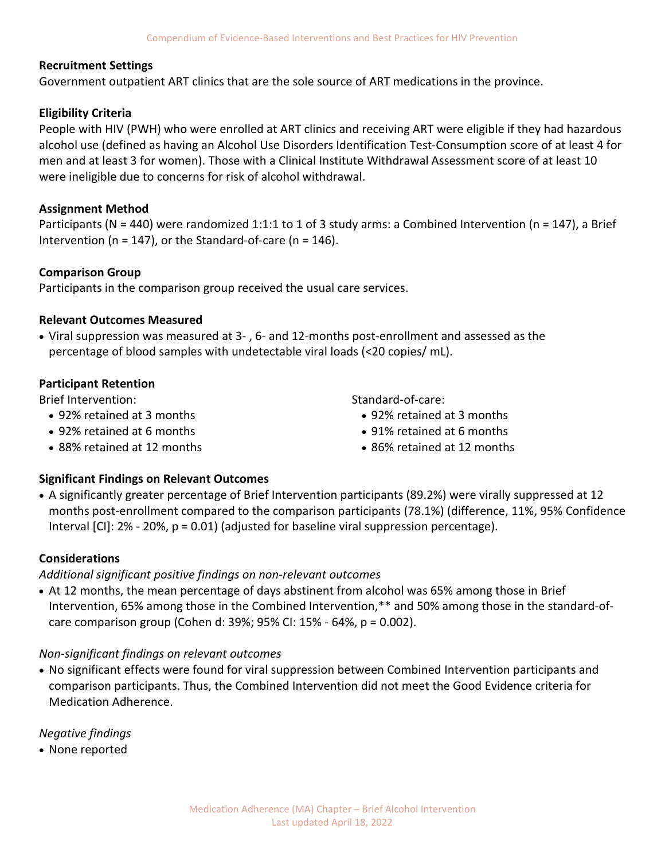#### **Recruitment Settings**

Government outpatient ART clinics that are the sole source of ART medications in the province.

## **Eligibility Criteria**

People with HIV (PWH) who were enrolled at ART clinics and receiving ART were eligible if they had hazardous alcohol use (defined as having an Alcohol Use Disorders Identification Test-Consumption score of at least 4 for men and at least 3 for women). Those with a Clinical Institute Withdrawal Assessment score of at least 10 were ineligible due to concerns for risk of alcohol withdrawal.

#### **Assignment Method**

Participants (N = 440) were randomized 1:1:1 to 1 of 3 study arms: a Combined Intervention (n = 147), a Brief Intervention ( $n = 147$ ), or the Standard-of-care ( $n = 146$ ).

#### **Comparison Group**

Participants in the comparison group received the usual care services.

#### **Relevant Outcomes Measured**

• Viral suppression was measured at 3- , 6- and 12-months post-enrollment and assessed as the percentage of blood samples with undetectable viral loads (<20 copies/ mL).

#### **Participant Retention**

Brief Intervention:

- 92% retained at 3 months
- 92% retained at 6 months
- 88% retained at 12 months
- Standard-of-care:
	- 92% retained at 3 months
	- 91% retained at 6 months
	- 86% retained at 12 months

## **Significant Findings on Relevant Outcomes**

• A significantly greater percentage of Brief Intervention participants (89.2%) were virally suppressed at 12 months post-enrollment compared to the comparison participants (78.1%) (difference, 11%, 95% Confidence Interval  $[C]$ : 2% - 20%,  $p = 0.01$ ) (adjusted for baseline viral suppression percentage).

#### **Considerations**

## *Additional significant positive findings on non-relevant outcomes*

• At 12 months, the mean percentage of days abstinent from alcohol was 65% among those in Brief Intervention, 65% among those in the Combined Intervention,\*\* and 50% among those in the standard-ofcare comparison group (Cohen d: 39%; 95% CI: 15% - 64%, p = 0.002).

## *Non-significant findings on relevant outcomes*

• No significant effects were found for viral suppression between Combined Intervention participants and comparison participants. Thus, the Combined Intervention did not meet the Good Evidence criteria for Medication Adherence.

*Negative findings* 

• None reported